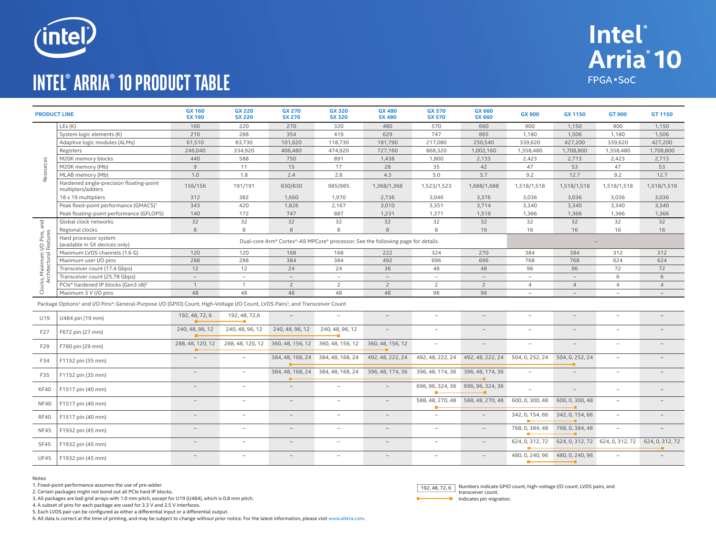

## **intel® Arria® 10 Product Table**



Notes:

1. Fixed-point performance assumes the use of pre-adder.

2. Certain packages might not bond out all PCIe hard IP blocks.

3. All packages are ball grid arrays with 1.0 mm pitch, except for U19 (U484), which is 0.8 mm pitch.

4. A subset of pins for each package are used for 3.3 V and 2.5 V interfaces.

5. Each LVDS pair can be configured as either a differential input or a differential output.

6. All data is correct at the time of printing, and may be subject to change without prior notice. For the latest information, please visit www.altera.com.

Numbers indicate GPIO count, high-voltage I/O count, LVDS pairs, and 192, 48, 72, 6

**Intel**®

FPGA SoC

Arria<sup>10</sup>

Indicates pin migration.

transceiver count.